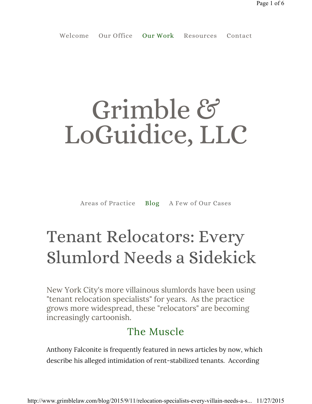# Grimble & LoGuidice, LLC

Areas of Practice Blog A Few of Our Cases

# Tenant Relocators: Every Slumlord Needs a Sidekick

New York City's more villainous slumlords have been using "tenant relocation specialists" for years. As the practice grows more widespread, these "relocators" are becoming increasingly cartoonish.

### The Muscle

Anthony Falconite is frequently featured in news articles by now, which describe his alleged intimidation of rent-stabilized tenants. According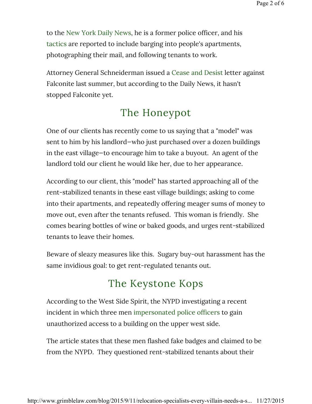to the New York Daily News, he is a former police officer, and his tactics are reported to include barging into people's apartments, photographing their mail, and following tenants to work.

Attorney General Schneiderman issued a Cease and Desist letter against Falconite last summer, but according to the Daily News, it hasn't stopped Falconite yet.

#### The Honeypot

One of our clients has recently come to us saying that a "model" was sent to him by his landlord—who just purchased over a dozen buildings in the east village—to encourage him to take a buyout. An agent of the landlord told our client he would like her, due to her appearance.

According to our client, this "model" has started approaching all of the rent-stabilized tenants in these east village buildings; asking to come into their apartments, and repeatedly offering meager sums of money to move out, even after the tenants refused. This woman is friendly. She comes bearing bottles of wine or baked goods, and urges rent-stabilized tenants to leave their homes.

Beware of sleazy measures like this. Sugary buy-out harassment has the same invidious goal: to get rent-regulated tenants out.

## The Keystone Kops

According to the West Side Spirit, the NYPD investigating a recent incident in which three men impersonated police officers to gain unauthorized access to a building on the upper west side.

The article states that these men flashed fake badges and claimed to be from the NYPD. They questioned rent-stabilized tenants about their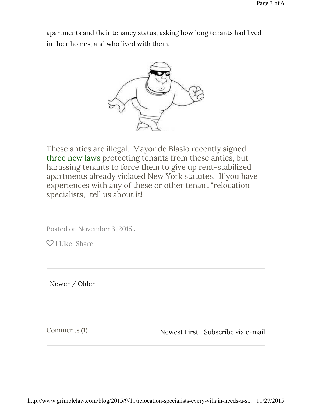apartments and their tenancy status, asking how long tenants had lived in their homes, and who lived with them.



These antics are illegal. Mayor de Blasio recently signed three new laws protecting tenants from these antics, but harassing tenants to force them to give up rent-stabilized apartments already violated New York statutes. If you have experiences with any of these or other tenant "relocation specialists," tell us about it!

Posted on November 3, 2015.

 $\heartsuit$  1 Like Share

Newer / Older

Comments (1) Subscribe via e-mail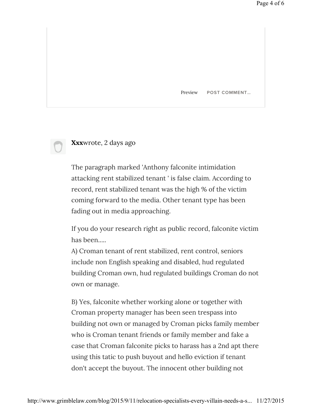Preview **POST COMMENT…**

#### **Xxx**wrote, 2 days ago

The paragraph marked 'Anthony falconite intimidation attacking rent stabilized tenant ' is false claim. According to record, rent stabilized tenant was the high % of the victim coming forward to the media. Other tenant type has been fading out in media approaching.

If you do your research right as public record, falconite victim has been.....

A) Croman tenant of rent stabilized, rent control, seniors include non English speaking and disabled, hud regulated building Croman own, hud regulated buildings Croman do not own or manage.

B) Yes, falconite whether working alone or together with Croman property manager has been seen trespass into building not own or managed by Croman picks family member who is Croman tenant friends or family member and fake a case that Croman falconite picks to harass has a 2nd apt there using this tatic to push buyout and hello eviction if tenant don't accept the buyout. The innocent other building not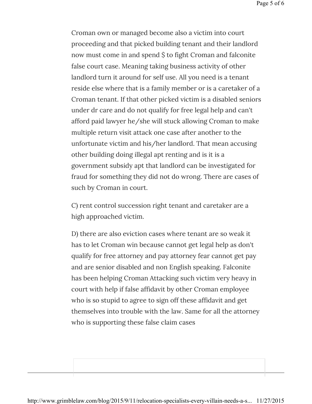Croman own or managed become also a victim into court proceeding and that picked building tenant and their landlord now must come in and spend \$ to fight Croman and falconite false court case. Meaning taking business activity of other landlord turn it around for self use. All you need is a tenant reside else where that is a family member or is a caretaker of a Croman tenant. If that other picked victim is a disabled seniors under dr care and do not qualify for free legal help and can't afford paid lawyer he/she will stuck allowing Croman to make multiple return visit attack one case after another to the unfortunate victim and his/her landlord. That mean accusing other building doing illegal apt renting and is it is a government subsidy apt that landlord can be investigated for fraud for something they did not do wrong. There are cases of such by Croman in court.

C) rent control succession right tenant and caretaker are a high approached victim.

D) there are also eviction cases where tenant are so weak it has to let Croman win because cannot get legal help as don't qualify for free attorney and pay attorney fear cannot get pay and are senior disabled and non English speaking. Falconite has been helping Croman Attacking such victim very heavy in court with help if false affidavit by other Croman employee who is so stupid to agree to sign off these affidavit and get themselves into trouble with the law. Same for all the attorney who is supporting these false claim cases